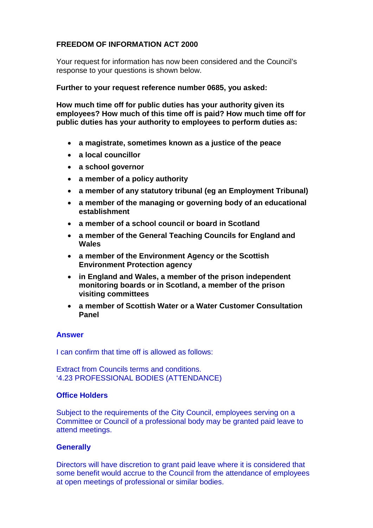## **FREEDOM OF INFORMATION ACT 2000**

Your request for information has now been considered and the Council's response to your questions is shown below.

**Further to your request reference number 0685, you asked:**

**How much time off for public duties has your authority given its employees? How much of this time off is paid? How much time off for public duties has your authority to employees to perform duties as:** 

- **a magistrate, sometimes known as a justice of the peace**
- **a local councillor**
- **a school governor**
- **a member of a policy authority**
- **a member of any statutory tribunal (eg an Employment Tribunal)**
- **a member of the managing or governing body of an educational establishment**
- **a member of a school council or board in Scotland**
- **a member of the General Teaching Councils for England and Wales**
- **a member of the Environment Agency or the Scottish Environment Protection agency**
- **in England and Wales, a member of the prison independent monitoring boards or in Scotland, a member of the prison visiting committees**
- **a member of Scottish Water or a Water Customer Consultation Panel**

### **Answer**

I can confirm that time off is allowed as follows:

Extract from Councils terms and conditions. '4.23 PROFESSIONAL BODIES (ATTENDANCE)

## **Office Holders**

Subject to the requirements of the City Council, employees serving on a Committee or Council of a professional body may be granted paid leave to attend meetings.

# **Generally**

Directors will have discretion to grant paid leave where it is considered that some benefit would accrue to the Council from the attendance of employees at open meetings of professional or similar bodies.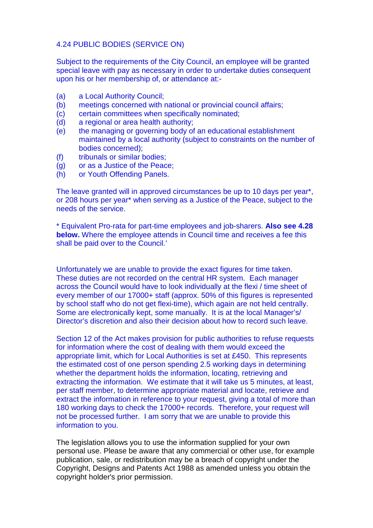#### 4.24 PUBLIC BODIES (SERVICE ON)

Subject to the requirements of the City Council, an employee will be granted special leave with pay as necessary in order to undertake duties consequent upon his or her membership of, or attendance at:-

- (a) a Local Authority Council;
- (b) meetings concerned with national or provincial council affairs;
- (c) certain committees when specifically nominated;
- (d) a regional or area health authority;
- (e) the managing or governing body of an educational establishment maintained by a local authority (subject to constraints on the number of bodies concerned);
- (f) tribunals or similar bodies;
- (g) or as a Justice of the Peace;
- (h) or Youth Offending Panels.

The leave granted will in approved circumstances be up to 10 days per year\*, or 208 hours per year\* when serving as a Justice of the Peace, subject to the needs of the service.

\* Equivalent Pro-rata for part-time employees and job-sharers. **Also see 4.28 below.** Where the employee attends in Council time and receives a fee this shall be paid over to the Council.'

Unfortunately we are unable to provide the exact figures for time taken. These duties are not recorded on the central HR system. Each manager across the Council would have to look individually at the flexi / time sheet of every member of our 17000+ staff (approx. 50% of this figures is represented by school staff who do not get flexi-time), which again are not held centrally. Some are electronically kept, some manually. It is at the local Manager's/ Director's discretion and also their decision about how to record such leave.

Section 12 of the Act makes provision for public authorities to refuse requests for information where the cost of dealing with them would exceed the appropriate limit, which for Local Authorities is set at £450. This represents the estimated cost of one person spending 2.5 working days in determining whether the department holds the information, locating, retrieving and extracting the information. We estimate that it will take us 5 minutes, at least, per staff member, to determine appropriate material and locate, retrieve and extract the information in reference to your request, giving a total of more than 180 working days to check the 17000+ records. Therefore, your request will not be processed further. I am sorry that we are unable to provide this information to you.

The legislation allows you to use the information supplied for your own personal use. Please be aware that any commercial or other use, for example publication, sale, or redistribution may be a breach of copyright under the Copyright, Designs and Patents Act 1988 as amended unless you obtain the copyright holder's prior permission.